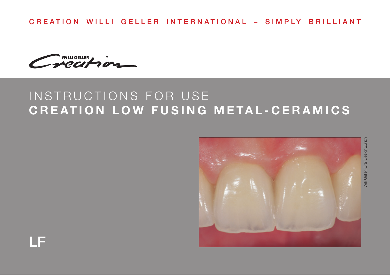CREATION WILLI GELLER INTERNATIONAL – SIMPLY BRILLIANT

WILLIGELLER

# INSTRUCTIONS FOR USE **CREATION LOW FUSING METAL-CERAMICS**



LF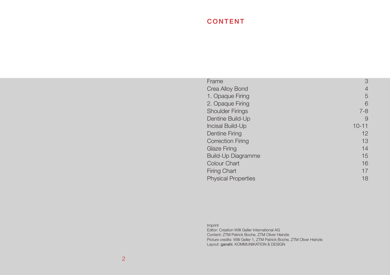# CONTENT

| Frame                      | 3              |
|----------------------------|----------------|
| Crea Alloy Bond            | $\overline{4}$ |
| 1. Opaque Firing           | 5              |
| 2. Opaque Firing           | 6              |
| <b>Shoulder Firings</b>    | $7 - 8$        |
| Dentine Build-Up           | 9              |
| Incisal Build-Up           | $10 - 11$      |
| Dentine Firing             | 12             |
| <b>Correction Firing</b>   | 13             |
| Glaze Firing               | 14             |
| Build-Up Diagramme         | 15             |
| Colour Chart               | 16             |
| <b>Firing Chart</b>        | 17             |
| <b>Physical Properties</b> | 18             |
|                            |                |

| Imprint                                                                |
|------------------------------------------------------------------------|
| Editor: Creation Willi Geller International AG                         |
| Content: ZTM Patrick Boche, ZTM Oliver Heinzle                         |
| Picture credits: Willi Geller 1, ZTM Patrick Boche, ZTM Oliver Heinzle |
| Layout: ganahl, KOMMUNIKATION & DESIGN                                 |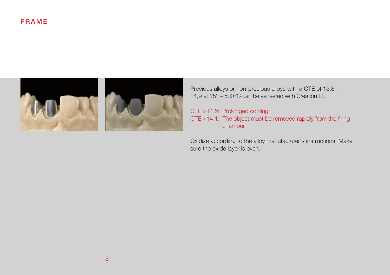## FRAME



Precious alloys or non-precious alloys with a CTE of 13,8 – 14,9 at 25° – 500°C can be veneered with Creation LF.

CTE >14.5: Prolonged cooling CTE <14.1: The object must be removed rapidly from the firing chamber

Oxidize according to the alloy manufacturer's instructions. Make sure the oxide layer is even.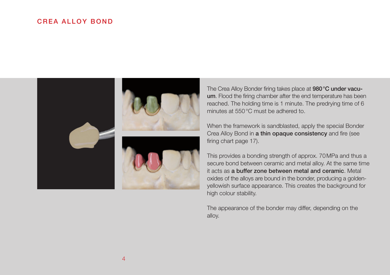## CREA ALLOY BOND



The Crea Alloy Bonder firing takes place at 980°C under vacuum. Flood the firing chamber after the end temperature has been reached. The holding time is 1 minute. The predrying time of 6 minutes at 550°C must be adhered to.

When the framework is sandblasted, apply the special Bonder Crea Alloy Bond in a thin opaque consistency and fire (see firing chart page 17).

This provides a bonding strength of approx. 70MPa and thus a secure bond between ceramic and metal alloy. At the same time it acts as a buffer zone between metal and ceramic. Metal oxides of the alloys are bound in the bonder, producing a goldenyellowish surface appearance. This creates the background for high colour stability.

The appearance of the bonder may differ, depending on the alloy.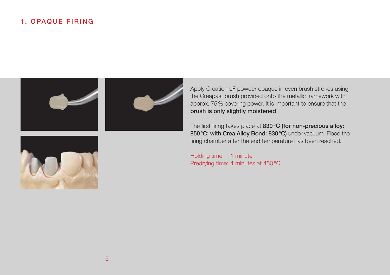## 1. OPAQUE FIRING



Apply Creation LF powder opaque in even brush strokes using the Creapast brush provided onto the metallic framework with approx. 75% covering power. It is important to ensure that the brush is only slightly moistened.

The first firing takes place at 830 °C (for non-precious alloy: 850°C; with Crea Alloy Bond: 830°C) under vacuum. Flood the firing chamber after the end temperature has been reached.

Holding time: 1 minute Predrying time: 4 minutes at 450°C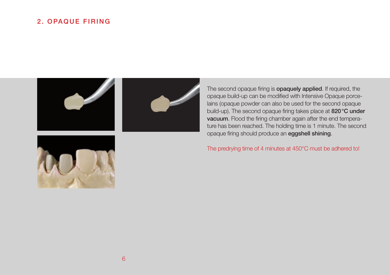## 2. OPAQUE FIRING







The second opaque firing is **opaquely applied**. If required, the opaque build-up can be modified with Intensive Opaque porcelains (opaque powder can also be used for the second opaque build-up). The second opaque firing takes place at 820°C under vacuum. Flood the firing chamber again after the end temperature has been reached. The holding time is 1 minute. The second opaque firing should produce an eggshell shining.

#### The predrying time of 4 minutes at 450°C must be adhered to!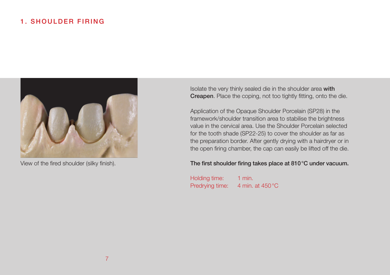## 1. SHOULDER FIRING



View of the fired shoulder (silky finish).

Isolate the very thinly sealed die in the shoulder area with Creapen. Place the coping, not too tightly fitting, onto the die.

Application of the Opaque Shoulder Porcelain (SP28) in the framework/shoulder transition area to stabilise the brightness value in the cervical area. Use the Shoulder Porcelain selected for the tooth shade (SP22-25) to cover the shoulder as far as the preparation border. After gently drying with a hairdryer or in the open firing chamber, the cap can easily be lifted off the die.

#### The first shoulder firing takes place at 810°C under vacuum.

Holding time: 1 min. Predrying time: 4 min. at 450 °C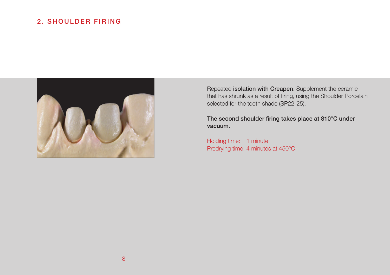## 2. SHOULDER FIRING



Repeated isolation with Creapen. Supplement the ceramic that has shrunk as a result of firing, using the Shoulder Porcelain selected for the tooth shade (SP22-25).

The second shoulder firing takes place at 810°C under vacuum.

Holding time: 1 minute Predrying time: 4 minutes at 450°C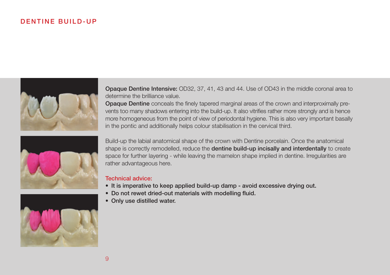## D FN TINE BUILD-UP



Opaque Dentine Intensive: OD32, 37, 41, 43 and 44. Use of OD43 in the middle coronal area to determine the brilliance value.

Opaque Dentine conceals the finely tapered marginal areas of the crown and interproximally prevents too many shadows entering into the build-up. It also vitrifies rather more strongly and is hence more homogeneous from the point of view of periodontal hygiene. This is also very important basally in the pontic and additionally helps colour stabilisation in the cervical third.



Build-up the labial anatomical shape of the crown with Dentine porcelain. Once the anatomical shape is correctly remodelled, reduce the dentine build-up incisally and interdentally to create space for further layering - while leaving the mamelon shape implied in dentine. Irregularities are rather advantageous here.

#### Technical advice:

- It is imperative to keep applied build-up damp avoid excessive drying out.
- Do not rewet dried-out materials with modelling fluid.
- Only use distilled water.

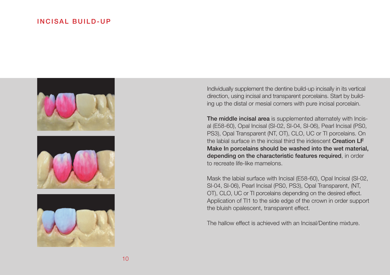### INCISAL BUILD-UP







Individually supplement the dentine build-up incisally in its vertical direction, using incisal and transparent porcelains. Start by building up the distal or mesial corners with pure incisal porcelain.

The middle incisal area is supplemented alternately with Incisal (E58-60), Opal Incisal (SI-02, SI-04, SI-06), Pearl Incisal (PS0, PS3), Opal Transparent (NT, OT), CLO, UC or TI porcelains. On the labial surface in the incisal third the iridescent Creation LF Make In porcelains should be washed into the wet material, depending on the characteristic features required, in order to recreate life-like mamelons.

Mask the labial surface with Incisal (E58-60), Opal Incisal (SI-02, SI-04, SI-06), Pearl Incisal (PS0, PS3), Opal Transparent, (NT, OT), CLO, UC or TI porcelains depending on the desired effect. Application of TI1 to the side edge of the crown in order support the bluish opalescent, transparent effect.

The hallow effect is achieved with an Incisal/Dentine mixture.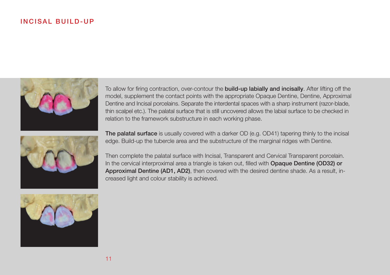## INCISAL BUILD-UP



To allow for firing contraction, over-contour the **build-up labially and incisally**. After lifting off the model, supplement the contact points with the appropriate Opaque Dentine, Dentine, Approximal Dentine and Incisal porcelains. Separate the interdental spaces with a sharp instrument (razor-blade, thin scalpel etc.). The palatal surface that is still uncovered allows the labial surface to be checked in relation to the framework substructure in each working phase.



The palatal surface is usually covered with a darker OD (e.g. OD41) tapering thinly to the incisal edge. Build-up the tubercle area and the substructure of the marginal ridges with Dentine.

Then complete the palatal surface with Incisal, Transparent and Cervical Transparent porcelain. In the cervical interproximal area a triangle is taken out, filled with Opaque Dentine (OD32) or Approximal Dentine (AD1, AD2), then covered with the desired dentine shade. As a result, increased light and colour stability is achieved.

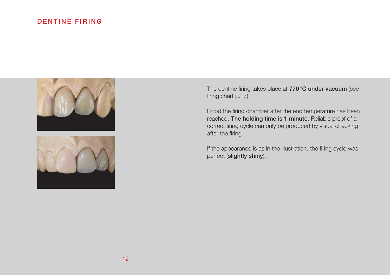## DENTINE FIRING



The dentine firing takes place at 770°C under vacuum (see firing chart p.17).

Flood the firing chamber after the end temperature has been reached. The holding time is 1 minute. Reliable proof of a correct firing cycle can only be produced by visual checking after the firing.

If the appearance is as in the illustration, the firing cycle was perfect (slightly shiny).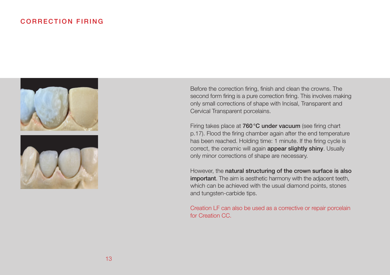## CORRECTION FIRING





Before the correction firing, finish and clean the crowns. The second form firing is a pure correction firing. This involves making only small corrections of shape with Incisal, Transparent and Cervical Transparent porcelains.

Firing takes place at 760°C under vacuum (see firing chart p.17). Flood the firing chamber again after the end temperature has been reached. Holding time: 1 minute. If the firing cycle is correct, the ceramic will again appear slightly shiny. Usually only minor corrections of shape are necessary.

However, the natural structuring of the crown surface is also important. The aim is aesthetic harmony with the adjacent teeth, which can be achieved with the usual diamond points, stones and tungsten-carbide tips.

Creation LF can also be used as a corrective or repair porcelain for Creation CC.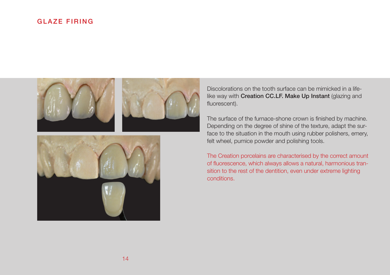## GLAZE FIRING





Discolorations on the tooth surface can be mimicked in a lifelike way with Creation CC.LF. Make Up Instant (glazing and fluorescent).

The surface of the furnace-shone crown is finished by machine. Depending on the degree of shine of the texture, adapt the surface to the situation in the mouth using rubber polishers, emery, felt wheel, pumice powder and polishing tools.

The Creation porcelains are characterised by the correct amount of fluorescence, which always allows a natural, harmonious transition to the rest of the dentition, even under extreme lighting conditions.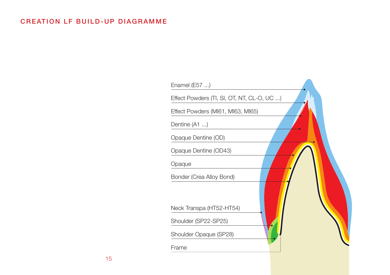# CREATION LF BUILD-UP DIAGRAMME

| Enamel (E57 )                              |  |
|--------------------------------------------|--|
| Effect Powders (TI, SI, OT, NT, CL-O, UC ) |  |
| Effect Powders (MI61, MI63, MI65)          |  |
| Dentine (A1 )                              |  |
| Opaque Dentine (OD)                        |  |
| Opaque Dentine (OD43)                      |  |
| Opaque                                     |  |
| Bonder (Crea Alloy Bond)                   |  |
| Neck Transpa (HT52-HT54)                   |  |
| Shoulder (SP22-SP25)                       |  |
| Shoulder Opaque (SP28)                     |  |
| Frame                                      |  |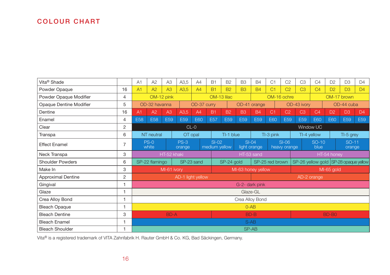# COLOUR CHART

| Vita <sup>®</sup> Shade   |    | A1                                                            | A2                                | A3              | A3,5             | A4                                    | <b>B1</b>       | <b>B2</b>     | B <sub>3</sub> | <b>B4</b>               | C1             | C <sub>2</sub> | C <sub>3</sub>                | C4             | D <sub>2</sub> | D <sub>3</sub>  | D <sub>4</sub> |
|---------------------------|----|---------------------------------------------------------------|-----------------------------------|-----------------|------------------|---------------------------------------|-----------------|---------------|----------------|-------------------------|----------------|----------------|-------------------------------|----------------|----------------|-----------------|----------------|
| Powder Opaque             | 16 | A <sub>1</sub>                                                | A2                                | A3              | A3,5             | A4                                    | <b>B1</b>       | <b>B2</b>     | <b>B3</b>      | <b>B4</b>               | C <sub>1</sub> | C <sub>2</sub> | C <sub>3</sub>                | C <sub>4</sub> | D <sub>2</sub> | D <sub>3</sub>  | D <sub>4</sub> |
| Powder Opaque Modifier    | 4  | OM-12 pink                                                    |                                   |                 |                  |                                       | OM-13 lilac     |               |                | OM-16 ochre             |                | OM-17 brown    |                               |                |                |                 |                |
| Opaque Dentine Modifier   | 5  | OD-32 havanna<br>OD-37 curry                                  |                                   |                 |                  | OD-41 orange                          |                 |               | OD-43 ivory    |                         |                | OD-44 cuba     |                               |                |                |                 |                |
| Dentine                   | 16 | A <sub>1</sub>                                                | A2                                | A3              | A3.5             | A4                                    | <b>B1</b>       | <b>B2</b>     | <b>B3</b>      | <b>B4</b>               | C <sub>1</sub> | C <sub>2</sub> | C <sub>3</sub>                | C <sub>4</sub> | D <sub>2</sub> | D <sub>3</sub>  | D4             |
| Enamel                    | 4  | E58                                                           | E58                               | E <sub>59</sub> | E59              | E60                                   | E <sub>57</sub> | E59           | E59            | E59                     | E60            | E59            | E <sub>59</sub>               | E60            | E60            | E59             | E59            |
| Clear                     | 2  |                                                               | $CL-0$                            |                 |                  |                                       |                 |               |                |                         | Window UC      |                |                               |                |                |                 |                |
| Transpa                   | 6  |                                                               | NT neutral                        |                 |                  | OT opal                               |                 | TI-1 blue     |                |                         | TI-3 pink      |                |                               | TI-4 yellow    | TI-5 grey      |                 |                |
| <b>Effect Enamel</b>      |    |                                                               | $PS-0$<br>white                   |                 | $PS-3$<br>orange |                                       | $SI-02$         | medium yellow |                | $SI-04$<br>light orange |                | $SI-06$        | SO-10<br>blue<br>heavy orange |                |                | SO-11<br>orange |                |
| Neck Transpa              | 3  | HT-52 khaki                                                   |                                   |                 |                  |                                       | HT-53 sand      |               |                |                         |                | HT-54 honey    |                               |                |                |                 |                |
| <b>Shoulder Powders</b>   | 6  | SP-23 sand<br>SP-22 flamingo<br>SP-24 gold<br>SP-25 red brown |                                   |                 |                  | SP-26 yellow gold SP-28 opaque yellow |                 |               |                |                         |                |                |                               |                |                |                 |                |
| Make In                   | 3  |                                                               | MI-61 ivory<br>MI-63 honey yellow |                 |                  |                                       |                 |               |                | MI-65 gold              |                |                |                               |                |                |                 |                |
| <b>Approximal Dentine</b> | 2  | AD-1 light yellow<br>AD-2 orange                              |                                   |                 |                  |                                       |                 |               |                |                         |                |                |                               |                |                |                 |                |
| Gingival                  | ۹  |                                                               | G-2- dark pink                    |                 |                  |                                       |                 |               |                |                         |                |                |                               |                |                |                 |                |
| Glaze                     |    |                                                               | Glaze-GL                          |                 |                  |                                       |                 |               |                |                         |                |                |                               |                |                |                 |                |
| Crea Alloy Bond           |    | Crea Alloy Bond                                               |                                   |                 |                  |                                       |                 |               |                |                         |                |                |                               |                |                |                 |                |
| <b>Bleach Opaque</b>      | ۰  | $O-AB$                                                        |                                   |                 |                  |                                       |                 |               |                |                         |                |                |                               |                |                |                 |                |
| <b>Bleach Dentine</b>     | 3  | <b>BD-A</b><br>BD-B<br>BD-B0                                  |                                   |                 |                  |                                       |                 |               |                |                         |                |                |                               |                |                |                 |                |
| <b>Bleach Enamel</b>      |    | $S-AB$                                                        |                                   |                 |                  |                                       |                 |               |                |                         |                |                |                               |                |                |                 |                |
| <b>Bleach Shoulder</b>    |    | SP-AB                                                         |                                   |                 |                  |                                       |                 |               |                |                         |                |                |                               |                |                |                 |                |

Vita® is a registered trademark of VITA Zahnfabrik H. Rauter GmbH & Co. KG, Bad Säckingen, Germany.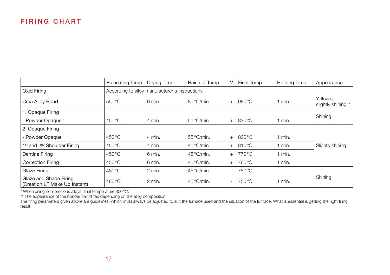## **FIRING CHART**

|                                                         | Preheating Temp.                               | Drying Time | Raise of Temp.      | V                        | Final Temp. | <b>Holding Time</b> | Appearance                       |  |  |  |
|---------------------------------------------------------|------------------------------------------------|-------------|---------------------|--------------------------|-------------|---------------------|----------------------------------|--|--|--|
| Oxid Firing                                             | According to alloy manufacturer's instructions |             |                     |                          |             |                     |                                  |  |  |  |
| Crea Alloy Bond                                         | $550^{\circ}$ C                                | 6 min.      | 80°C/min.           | $+$                      | 980 °C      | $1$ min.            | Yellowish.<br>slightly shining** |  |  |  |
| 1. Opaque Firing                                        |                                                |             |                     |                          |             |                     | Shining                          |  |  |  |
| - Powder Opaque*                                        | 450 °C                                         | 4 min.      | $55^{\circ}$ C/min. | $+$                      | 830 °C      | 1 min.              |                                  |  |  |  |
| 2. Opaque Firing                                        |                                                |             |                     |                          |             |                     |                                  |  |  |  |
| - Powder Opaque                                         | 450 °C                                         | 4 min.      | $55^{\circ}$ C/min. | $+$                      | 820 °C      | 1 min.              |                                  |  |  |  |
| 1 <sup>st</sup> and 2 <sup>nd</sup> Shoulder Firing     | 450 °C                                         | 4 min.      | 45°C/min.           | $+$                      | 810 °C      | $1$ min.            | Slightly shining                 |  |  |  |
| <b>Dentine Firing</b>                                   | 450 °C                                         | 6 min.      | 45°C/min.           | $+$                      | 770 °C      | $1$ min.            |                                  |  |  |  |
| <b>Correction Firing</b>                                | 450 °C                                         | 6 min.      | 45°C/min.           | $+$                      | 760 °C      | $1$ min.            |                                  |  |  |  |
| Glaze Firing                                            | 480 °C                                         | 2 min.      | 45°C/min.           | $\sim$                   | 780 °C      |                     |                                  |  |  |  |
| Glaze and Shade Firing<br>(Creation LF Make Up Instant) | 480 °C                                         | 2 min.      | $45^{\circ}$ C/min. | $\overline{\phantom{a}}$ | 750 °C      | 1 min.              | Shining                          |  |  |  |

\* When using non-precious alloys: final temperature 850°C.<br>\*\* The appearance of the bonder can differ, depending on the alloy composition.<br>The firing parameters given above are guidelines, which must always be adjusted to result.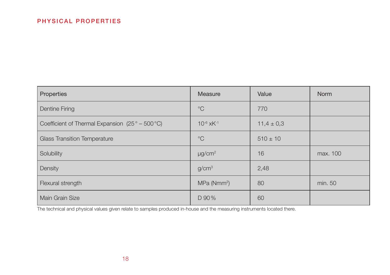| Properties                                                     | Measure                    | Value          | <b>Norm</b> |
|----------------------------------------------------------------|----------------------------|----------------|-------------|
| Dentine Firing                                                 | $^{\circ}C$                | 770            |             |
| Coefficient of Thermal Expansion $(25^{\circ} - 500^{\circ}C)$ | $10^{-6}$ xK <sup>-1</sup> | $11,4 \pm 0,3$ |             |
| <b>Glass Transition Temperature</b>                            | $^{\circ}C$                | $510 \pm 10$   |             |
| Solubility                                                     | $\mu$ g/cm <sup>2</sup>    | 16             | max. 100    |
| Density                                                        | g/cm <sup>3</sup>          | 2,48           |             |
| Flexural strength                                              | MPa (Nmm <sup>2</sup> )    | 80             | min. 50     |
| Main Grain Size                                                | D 90%                      | 60             |             |

The technical and physical values given relate to samples produced in-house and the measuring instruments located there.